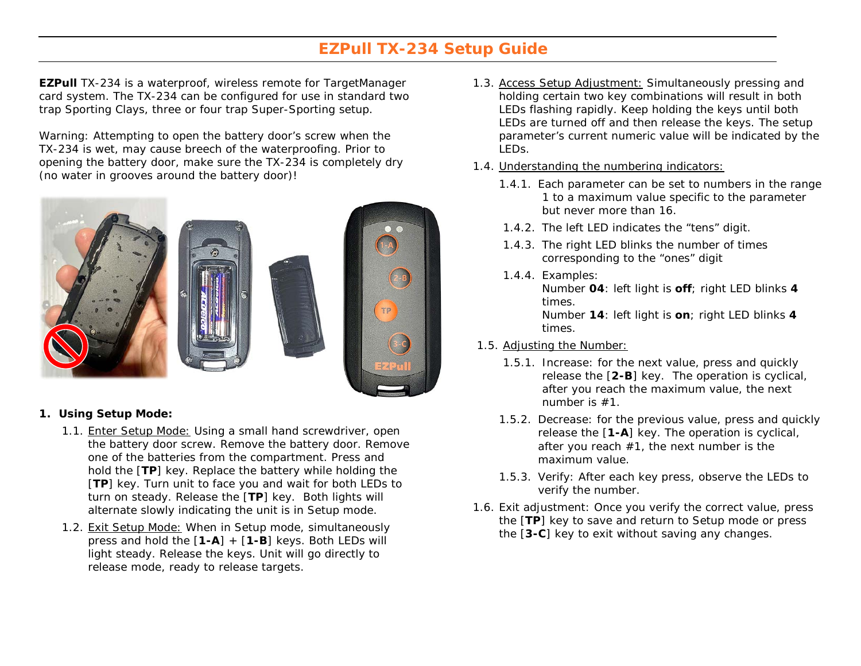## **EZPull TX-234 Setup Guide**

**EZPull** TX-234 is a waterproof, wireless remote for TargetManager card system. The TX-234 can be configured for use in standard two trap Sporting Clays, three or four trap Super-Sporting setup.

Warning: Attempting to open the battery door's screw when the TX-234 is wet, may cause breech of the waterproofing. Prior to opening the battery door, make sure the TX-234 is completely dry (no water in grooves around the battery door)!



## **1. Using Setup Mode:**

- 1.1. Enter Setup Mode: Using a small hand screwdriver, open the battery door screw. Remove the battery door. Remove one of the batteries from the compartment. Press and hold the [**TP**] key. Replace the battery while holding the [**TP**] key. Turn unit to face you and wait for both LEDs to turn on steady. Release the [**TP**] key. Both lights will alternate slowly indicating the unit is in Setup mode.
- 1.2. Exit Setup Mode: When in Setup mode, simultaneously press and hold the [**1-A**] + [**1-B**] keys. Both LEDs will light steady. Release the keys. Unit will go directly to release mode, ready to release targets.
- 1.3. Access Setup Adjustment: Simultaneously pressing and holding certain two key combinations will result in both LEDs flashing rapidly. Keep holding the keys until both LEDs are turned off and then release the keys. The setup parameter's current numeric value will be indicated by the LEDs.
- 1.4. Understanding the numbering indicators:
	- 1.4.1. Each parameter can be set to numbers in the range 1 to a maximum value specific to the parameter but never more than 16.
	- 1.4.2. The left LED indicates the "tens" digit.
	- 1.4.3. The right LED blinks the number of times corresponding to the "ones" digit
	- 1.4.4. Examples: Number **04**: left light is **off**; right LED blinks **4** times. Number **14**: left light is **on**; right LED blinks **4**  times.
- 1.5. Adjusting the Number:
	- 1.5.1. Increase: for the next value, press and quickly release the [**2-B**] key. The operation is cyclical, after you reach the maximum value, the next number is #1.
	- 1.5.2. Decrease: for the previous value, press and quickly release the [**1-A**] key. The operation is cyclical, after you reach #1, the next number is the maximum value.
	- 1.5.3. Verify: After each key press, observe the LEDs to verify the number.
- 1.6. Exit adjustment: Once you verify the correct value, press the [**TP**] key to save and return to Setup mode or press the [**3-C**] key to exit without saving any changes.